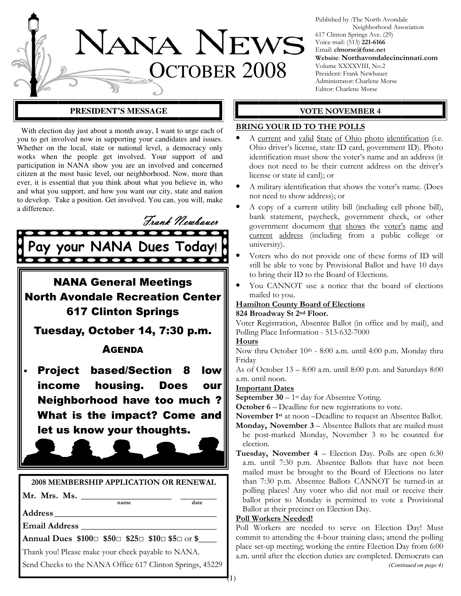

Published by :The North Avondale Neighborhood Association 617 Clinton Springs Ave. (29) Voice mail: (513) 221-6166 Email: clmorse@fuse.net Website: Northavondalecincinnati.com Volume XXXXVIII, No.2 President: Frank Newbauer Administrator: Charlene Morse Editor: Charlene Morse

#### **PRESIDENT'S MESSAGE**  $\parallel$  $\parallel$  **VOTE NOVEMBER 4**

 With election day just about a month away, I want to urge each of you to get involved now in supporting your candidates and issues. Whether on the local, state or national level, a democracy only works when the people get involved. Your support of and participation in NANA show you are an involved and concerned citizen at the most basic level, our neighborhood. Now, more than ever, it is essential that you think about what you believe in, who and what you support, and how you want our city, state and nation to develop. Take a position. Get involved. You can, you will, make a difference.



NANA General Meetings North Avondale Recreation Center 617 Clinton Springs

Tuesday, October 14, 7:30 p.m.

### **AGENDA**

Project based/Section 8 low income housing. Does our Neighborhood have too much ? What is the impact? Come and let us know your thoughts.



Email Address \_\_\_\_\_\_\_\_\_\_\_\_\_\_\_\_\_\_\_\_\_\_\_\_\_\_\_\_\_\_

Annual Dues \$100□ \$50□ \$25□ \$10□ \$5□ or \$

Thank you! Please make your check payable to NANA.

Send Checks to the NANA Office 617 Clinton Springs, 45229

#### BRING YOUR ID TO THE POLLS

- A current and valid State of Ohio photo identification (i.e. Ohio driver's license, state ID card, government ID). Photo identification must show the voter's name and an address (it does not need to be their current address on the driver's license or state id card); or
- A military identification that shows the voter's name. (Does not need to show address); or
- A copy of a current utility bill (including cell phone bill), bank statement, paycheck, government check, or other government document that shows the voter's name and current address (including from a public college or university).
- Voters who do not provide one of these forms of ID will still be able to vote by Provisional Ballot and have 10 days to bring their ID to the Board of Elections.
- You CANNOT use a notice that the board of elections mailed to you.

#### Hamilton County Board of Elections 824 Broadway St 2nd Floor.

Voter Registration, Absentee Ballot (in office and by mail), and Polling Place Information - 513-632-7000

#### Hours

Now thru October 10th - 8:00 a.m. until 4:00 p.m. Monday thru Friday

As of October 13 – 8:00 a.m. until 8:00 p.m. and Saturdays 8:00 a.m. until noon.

#### **Important Dates**

**September 30** – 1<sup>st</sup> day for Absentee Voting.

October 6 – Deadline for new registrations to vote.

November 1st at noon –Deadline to request an Absentee Ballot.

- Monday, November 3 Absentee Ballots that are mailed must be post-marked Monday, November 3 to be counted for election.
- Tuesday, November 4 Election Day. Polls are open 6:30 a.m. until 7:30 p.m. Absentee Ballots that have not been mailed must be brought to the Board of Elections no later than 7:30 p.m. Absentee Ballots CANNOT be turned-in at polling places! Any voter who did not mail or receive their ballot prior to Monday is permitted to vote a Provisional Ballot at their precinct on Election Day.

#### Poll Workers Needed!

Poll Workers are needed to serve on Election Day! Must commit to attending the 4-hour training class; attend the polling place set-up meeting; working the entire Election Day from 6:00 a.m. until after the election duties are completed. Democrats can *(Continued on page 4)*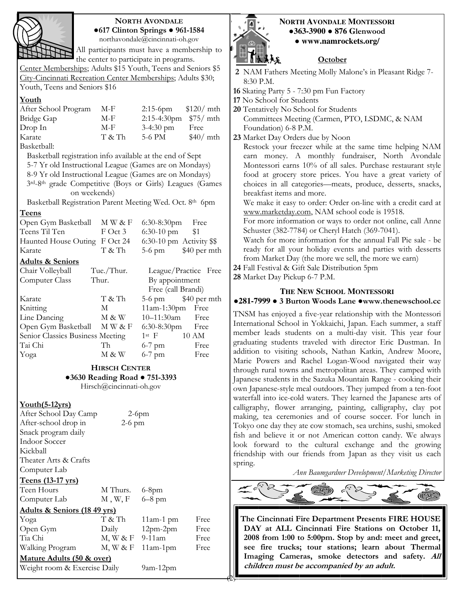

### NORTH AVONDALE ●617 Clinton Springs ● 961-1584

northavondale@cincinnati-oh.gov

All participants must have a membership to the center to participate in programs.

Center Memberships; Adults \$15 Youth, Teens and Seniors \$5 City-Cincinnati Recreation Center Memberships; Adults \$30; Youth, Teens and Seniors \$16

#### Youth

| After School Program    | M-F    | 2:15-6pm $$120/$ mth     |          |
|-------------------------|--------|--------------------------|----------|
| Bridge Gap              | M-F    | $2:15-4:30$ pm $$75/mth$ |          |
| Drop In                 | M-F    | $3-4:30$ pm              | Free     |
| Karate                  | T & Th | 5-6 PM                   | \$40/mth |
| $\mathbf{D}_{\text{e}}$ |        |                          |          |

Basketball:

Basketball registration info available at the end of Sept

5-7 Yr old Instructional League (Games are on Mondays)

8-9 Yr old Instructional League (Games are on Mondays)

3rd-8th grade Competitive (Boys or Girls) Leagues (Games on weekends)

Basketball Registration Parent Meeting Wed. Oct. 8th 6pm

#### Teens

| Open Gym Basketball              | M W & F                 | 6:30-8:30pm Free         |                        |  |
|----------------------------------|-------------------------|--------------------------|------------------------|--|
| Teens Til Ten                    | $F$ Oct 3               | $6:30-10$ pm             | \$1                    |  |
| Haunted House Outing             | F Oct 24                | 6:30-10 pm Activity \$\$ |                        |  |
| Karate                           | T & Th                  |                          | $5-6$ pm $$40$ per mth |  |
| <b>Adults &amp; Seniors</b>      |                         |                          |                        |  |
| Chair Volleyball                 | Tue./Thur.              |                          | League/Practice Free   |  |
| Computer Class                   | Thur.<br>By appointment |                          |                        |  |
|                                  |                         | Free (call Brandi)       |                        |  |
| Karate                           | T & Th                  |                          | $5-6$ pm $$40$ per mth |  |
| Knitting                         | M                       | $11am-1:30pm$            | Free                   |  |
| Line Dancing                     | M & W                   | 10-11:30am               | Free                   |  |
| Open Gym Basketball              | MW & F                  | $6:30-8:30$ pm Free      |                        |  |
| Senior Classics Business Meeting |                         | $1st$ F                  | 10 AM                  |  |
| Tai Chi                          | Th                      | $6-7$ pm                 | Free                   |  |
| Yoga                             | M & W                   | $6-7$ pm                 | Free                   |  |

HIRSCH CENTER ●3630 Reading Road ● 751-3393 Hirsch@cincinnati-oh.gov

#### Youth(5-12yrs)

After School Day Camp 2-6pm After-school drop in 2-6 pm Snack program daily Indoor Soccer Kickball Theater Arts & Crafts Computer Lab

#### Teens (13-17 yrs)

| Teen Hours                             | M Thurs.        | $6-8$ pm     |      |
|----------------------------------------|-----------------|--------------|------|
| Computer Lab                           | M, W, F         | $6 - 8$ pm   |      |
| <u>Adults &amp; Seniors (1849 yrs)</u> |                 |              |      |
| Yoga                                   | T & Th          | $11$ am-1 pm | Free |
| Open Gym                               | Daily           | $12pm-2pm$   | Free |
| Tia Chi                                | M, W & F        | $9-11$ am    | Free |
| Walking Program                        | $M$ , $W$ & $F$ | $11am-1pm$   | Free |
| Mature Adults (50 & over)              |                 |              |      |
| Weight room & Exercise Daily           |                 | $9am-12pm$   |      |



#### **NORTH AVONDALE MONTESSORI** ●**363-3900** ● **876 G**lenwood ● **www.namrockets.org/**

#### **October**

- 2 NAM Fathers Meeting Molly Malone's in Pleasant Ridge 7- 8:30 P.M.
- 16 Skating Party 5 7:30 pm Fun Factory
- 17 No School for Students
- 20 Tentatively No School for Students Committees Meeting (Carmen, PTO, LSDMC, & NAM Foundation) 6-8 P.M.

23 Market Day Orders due by Noon

Restock your freezer while at the same time helping NAM earn money. A monthly fundraiser, North Avondale Montessori earns 10% of all sales. Purchase restaurant style food at grocery store prices. You have a great variety of choices in all categories—meats, produce, desserts, snacks, breakfast items and more.

We make it easy to order: Order on-line with a credit card at www.marketday.com, NAM school code is 19518.

For more information or ways to order not online, call Anne Schuster (382-7784) or Cheryl Hatch (369-7041).

Watch for more information for the annual Fall Pie sale - be ready for all your holiday events and parties with desserts from Market Day (the more we sell, the more we earn)

24 Fall Festival & Gift Sale Distribution 5pm

28 Market Day Pickup 6-7 P.M.

 $\theta$ 

#### **THE NEW SCHOOL MONTESSORI**

# ●**281-7999** ● 3 Burton Woods Lane ●www.thenewschool.cc

TNSM has enjoyed a five-year relationship with the Montessori International School in Yokkaichi, Japan. Each summer, a staff member leads students on a multi-day visit. This year four graduating students traveled with director Eric Dustman. In addition to visiting schools, Nathan Katkin, Andrew Moore, Marie Powers and Rachel Logan-Wood navigated their way through rural towns and metropolitan areas. They camped with Japanese students in the Sazuka Mountain Range - cooking their own Japanese-style meal outdoors. They jumped from a ten-foot waterfall into ice-cold waters. They learned the Japanese arts of calligraphy, flower arranging, painting, calligraphy, clay pot making, tea ceremonies and of course soccer. For lunch in Tokyo one day they ate cow stomach, sea urchins, sushi, smoked fish and believe it or not American cotton candy. We always look forward to the cultural exchange and the growing friendship with our friends from Japan as they visit us each spring.

Ann Baumgardner Development/Marketing Director



The Cincinnati Fire Department Presents FIRE HOUSE DAY at ALL Cincinnati Fire Stations on October 11, 2008 from 1:00 to 5:00pm. Stop by and: meet and greet, see fire trucks; tour stations; learn about Thermal Imaging Cameras, smoke detectors and safety. All children must be accompanied by an adult.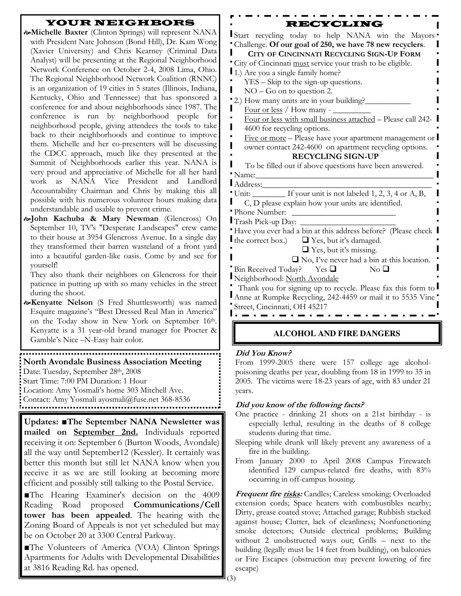### YOUR NEIGHBORS

- Michelle Baxter (Clinton Springs) will represent NANA with President Nate Johnson (Bond Hill), Dr. Kam Wong (Xavier University) and Chris Kearney (Criminal Data Analyst) will be presenting at the Regional Neighborhood Network Conference on October 2-4, 2008 Lima, Ohio. The Regional Neighborhood Network Coalition (RNNC) is an organization of 19 cities in 5 states (Illinois, Indiana, Kentucky, Ohio and Tennessee) that has sponsored a conference for and about neighborhoods since 1987. The conference is run by neighborhood people for neighborhood people, giving attendees the tools to take back to their neighborhoods and continue to improve them. Michelle and her co-presenters will be discussing the CDCC approach, much like they presented at the Summit of Neighborhoods earlier this year. NANA is very proud and appreciative of Michelle for all her hard work as NANA Vice President and Landlord Accountability Chairman and Chris by making this all possible with his numerous volunteer hours making data understandable and usable to prevent crime.
- John Kachuba & Mary Newman (Glencross) On September 10, TV's "Desperate Landscapes" crew came to their house at 3954 Glencross Avenue. In a single day they transformed their barren wasteland of a front yard into a beautiful garden-like oasis. Come by and see for yourself!

They also thank their neighbors on Glencross for their patience in putting up with so many vehicles in the street during the shoot.

**&Kenyatte Nelson** (S Fred Shuttlesworth) was named Esquire magazine's "Best Dressed Real Man in America" on the Today show in New York on September 16th. Kenyatte is a 31 year-old brand manager for Procter & Gamble's Nice –N-Easy hair color.

# North Avondale Business Association Meeting

Date: Tuesday, September 28th, 2008

Start Time: 7:00 PM Duration: 1 Hour

Location: Amy Yosmali's home 303 Mitchell Ave.

Contact: Amy Yosmali ayosmali@fuse.net 368-8536

Updates: ■The September NANA Newsletter was mailed on September 2nd. Individuals reported receiving it on: September 6 (Burton Woods, Avondale) all the way until September12 (Kessler). It certainly was better this month but still let NANA know when you receive it as we are still looking at becoming more efficient and possibly still talking to the Postal Service.

■The Hearing Examiner's decision on the 4009 Reading Road proposed Communications/Cell tower has been appealed. The hearing with the Zoning Board of Appeals is not yet scheduled but may be on October 20 at 3300 Central Parkway.

■The Volunteers of America (VOA) Clinton Springs Apartments for Adults with Developmental Disabilities at 3816 Reading Rd. has opened.

#### RECYCLING

Start recycling today to help NANA win the Mayors Challenge. Of our goal of 250, we have 78 new recyclers.

| Challenge. Of our goal of 250, we have 78 new recyclers.        |  |
|-----------------------------------------------------------------|--|
| CITY OF CINCINNATI RECYCLING SIGN-UP FORM                       |  |
| "City of Cincinnati must service your trash to be eligible.     |  |
| 1.) Are you a single family home?                               |  |
| YES – Skip to the sign-up questions.                            |  |
| $NO - Go$ on to question 2.                                     |  |
| 2.) How many units are in your building?                        |  |
| Four or less / How many - __                                    |  |
| Four or less with small business attached - Please call 242-    |  |
| ı<br>4600 for recycling options.                                |  |
| Five or more – Please have your apartment management or         |  |
| owner contact 242-4600 on apartment recycling options.          |  |
| <b>RECYCLING SIGN-UP</b>                                        |  |
| To be filled out if above questions have been answered.         |  |
| "Name:                                                          |  |
| Address:                                                        |  |
| Unit: _________ If your unit is not labeled 1, 2, 3, 4 or A, B, |  |
| C, D please explain how your units are identified.              |  |
| <b>Phone Number:</b>                                            |  |
| Trash Pick-up Day:                                              |  |
| Have you ever had a bin at this address before? (Please check   |  |
| the correct box.) $\Box$ Yes, but it's damaged.                 |  |
| $\Box$ Yes, but it's missing.                                   |  |
| $\Box$ No, I've never had a bin at this location.               |  |
| Bin Received Today? Yes $\Box$<br>N <sub>0</sub>                |  |
| Neighborhood: North Avondale                                    |  |
| Thank you for signing up to recycle. Please fax this form to    |  |
| Anne at Rumpke Recycling, 242-4459 or mail it to 5535 Vine      |  |
| Street, Cincinnati, OH 45217                                    |  |
|                                                                 |  |
|                                                                 |  |

### **ALCOHOL AND FIRE DANGERS**

#### Did You Know?

From 1999-2005 there were 157 college age alcoholpoisoning deaths per year, doubling from 18 in 1999 to 35 in 2005. The victims were 18-23 years of age, with 83 under 21 years.

#### Did you know of the following facts?

- One practice drinking 21 shots on a 21st birthday is especially lethal, resulting in the deaths of 8 college students during that time.
- Sleeping while drunk will likely prevent any awareness of a fire in the building.
- From January 2000 to April 2008 Campus Firewatch identified 129 campus-related fire deaths, with 83% occurring in off-campus housing.

Frequent fire risks: Candles; Careless smoking; Overloaded extension cords; Space heaters with combustibles nearby; Dirty, grease coated stove; Attached garage; Rubbish stacked against house; Clutter, lack of cleanliness; Nonfunctioning smoke detectors; Outside electrical problems; Building without 2 unobstructed ways out; Grills – next to the building (legally must be 14 feet from building), on balconies or Fire Escapes (obstruction may prevent lowering of fire escape)